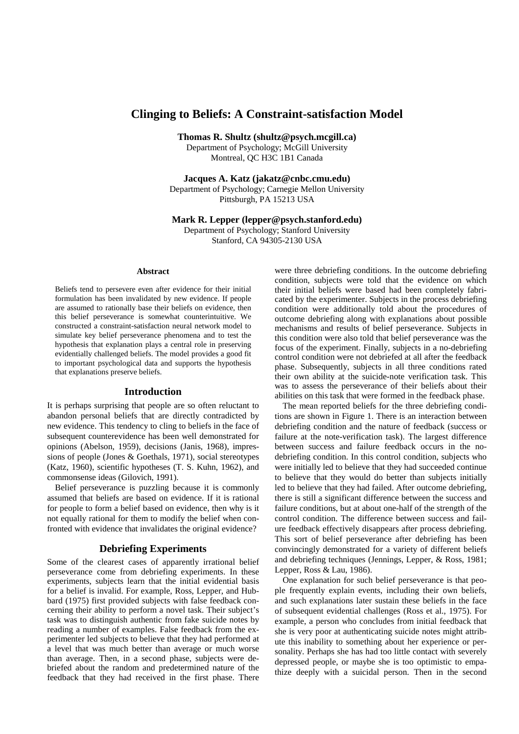# **Clinging to Beliefs: A Constraint-satisfaction Model**

**Thomas R. Shultz (shultz@psych.mcgill.ca)**

Department of Psychology; McGill University Montreal, QC H3C 1B1 Canada

**Jacques A. Katz (jakatz@cnbc.cmu.edu)** Department of Psychology; Carnegie Mellon University Pittsburgh, PA 15213 USA

## **Mark R. Lepper (lepper@psych.stanford.edu)**

Department of Psychology; Stanford University Stanford, CA 94305-2130 USA

#### **Abstract**

Beliefs tend to persevere even after evidence for their initial formulation has been invalidated by new evidence. If people are assumed to rationally base their beliefs on evidence, then this belief perseverance is somewhat counterintuitive. We constructed a constraint-satisfaction neural network model to simulate key belief perseverance phenomena and to test the hypothesis that explanation plays a central role in preserving evidentially challenged beliefs. The model provides a good fit to important psychological data and supports the hypothesis that explanations preserve beliefs.

# **Introduction**

It is perhaps surprising that people are so often reluctant to abandon personal beliefs that are directly contradicted by new evidence. This tendency to cling to beliefs in the face of subsequent counterevidence has been well demonstrated for opinions (Abelson, 1959), decisions (Janis, 1968), impressions of people (Jones & Goethals, 1971), social stereotypes (Katz, 1960), scientific hypotheses (T. S. Kuhn, 1962), and commonsense ideas (Gilovich, 1991).

Belief perseverance is puzzling because it is commonly assumed that beliefs are based on evidence. If it is rational for people to form a belief based on evidence, then why is it not equally rational for them to modify the belief when confronted with evidence that invalidates the original evidence?

## **Debriefing Experiments**

Some of the clearest cases of apparently irrational belief perseverance come from debriefing experiments. In these experiments, subjects learn that the initial evidential basis for a belief is invalid. For example, Ross, Lepper, and Hubbard (1975) first provided subjects with false feedback concerning their ability to perform a novel task. Their subject's task was to distinguish authentic from fake suicide notes by reading a number of examples. False feedback from the experimenter led subjects to believe that they had performed at a level that was much better than average or much worse than average. Then, in a second phase, subjects were debriefed about the random and predetermined nature of the feedback that they had received in the first phase. There

were three debriefing conditions. In the outcome debriefing condition, subjects were told that the evidence on which their initial beliefs were based had been completely fabricated by the experimenter. Subjects in the process debriefing condition were additionally told about the procedures of outcome debriefing along with explanations about possible mechanisms and results of belief perseverance. Subjects in this condition were also told that belief perseverance was the focus of the experiment. Finally, subjects in a no-debriefing control condition were not debriefed at all after the feedback phase. Subsequently, subjects in all three conditions rated their own ability at the suicide-note verification task. This was to assess the perseverance of their beliefs about their abilities on this task that were formed in the feedback phase.

The mean reported beliefs for the three debriefing conditions are shown in Figure 1. There is an interaction between debriefing condition and the nature of feedback (success or failure at the note-verification task). The largest difference between success and failure feedback occurs in the nodebriefing condition. In this control condition, subjects who were initially led to believe that they had succeeded continue to believe that they would do better than subjects initially led to believe that they had failed. After outcome debriefing, there is still a significant difference between the success and failure conditions, but at about one-half of the strength of the control condition. The difference between success and failure feedback effectively disappears after process debriefing. This sort of belief perseverance after debriefing has been convincingly demonstrated for a variety of different beliefs and debriefing techniques (Jennings, Lepper, & Ross, 1981; Lepper, Ross & Lau, 1986).

One explanation for such belief perseverance is that people frequently explain events, including their own beliefs, and such explanations later sustain these beliefs in the face of subsequent evidential challenges (Ross et al., 1975). For example, a person who concludes from initial feedback that she is very poor at authenticating suicide notes might attribute this inability to something about her experience or personality. Perhaps she has had too little contact with severely depressed people, or maybe she is too optimistic to empathize deeply with a suicidal person. Then in the second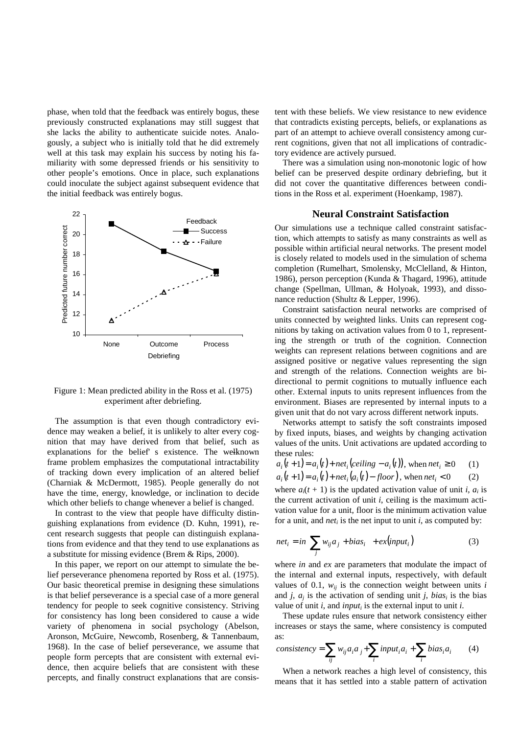phase, when told that the feedback was entirely bogus, these previously constructed explanations may still suggest that she lacks the ability to authenticate suicide notes. Analogously, a subject who is initially told that he did extremely well at this task may explain his success by noting his familiarity with some depressed friends or his sensitivity to other people's emotions. Once in place, such explanations could inoculate the subject against subsequent evidence that the initial feedback was entirely bogus.



Figure 1: Mean predicted ability in the Ross et al. (1975) experiment after debriefing.

The assumption is that even though contradictory evidence may weaken a belief, it is unlikely to alter every cognition that may have derived from that belief, such as explanations for the belief' s existence. The welknown frame problem emphasizes the computational intractability of tracking down every implication of an altered belief (Charniak & McDermott, 1985). People generally do not have the time, energy, knowledge, or inclination to decide which other beliefs to change whenever a belief is changed.

In contrast to the view that people have difficulty distinguishing explanations from evidence (D. Kuhn, 1991), recent research suggests that people can distinguish explanations from evidence and that they tend to use explanations as a substitute for missing evidence (Brem & Rips, 2000).

In this paper, we report on our attempt to simulate the belief perseverance phenomena reported by Ross et al. (1975). Our basic theoretical premise in designing these simulations is that belief perseverance is a special case of a more general tendency for people to seek cognitive consistency. Striving for consistency has long been considered to cause a wide variety of phenomena in social psychology (Abelson, Aronson, McGuire, Newcomb, Rosenberg, & Tannenbaum, 1968). In the case of belief perseverance, we assume that people form percepts that are consistent with external evidence, then acquire beliefs that are consistent with these percepts, and finally construct explanations that are consis-

tent with these beliefs. We view resistance to new evidence that contradicts existing percepts, beliefs, or explanations as part of an attempt to achieve overall consistency among current cognitions, given that not all implications of contradictory evidence are actively pursued.

There was a simulation using non-monotonic logic of how belief can be preserved despite ordinary debriefing, but it did not cover the quantitative differences between conditions in the Ross et al. experiment (Hoenkamp, 1987).

# **Neural Constraint Satisfaction**

Our simulations use a technique called constraint satisfaction, which attempts to satisfy as many constraints as well as possible within artificial neural networks. The present model is closely related to models used in the simulation of schema completion (Rumelhart, Smolensky, McClelland, & Hinton, 1986), person perception (Kunda & Thagard, 1996), attitude change (Spellman, Ullman, & Holyoak, 1993), and dissonance reduction (Shultz & Lepper, 1996).

Constraint satisfaction neural networks are comprised of units connected by weighted links. Units can represent cognitions by taking on activation values from 0 to 1, representing the strength or truth of the cognition. Connection weights can represent relations between cognitions and are assigned positive or negative values representing the sign and strength of the relations. Connection weights are bidirectional to permit cognitions to mutually influence each other. External inputs to units represent influences from the environment. Biases are represented by internal inputs to a given unit that do not vary across different network inputs.

Networks attempt to satisfy the soft constraints imposed by fixed inputs, biases, and weights by changing activation values of the units. Unit activations are updated according to these rules:

$$
a_i(t+1) = a_i(t) + net_i(ceiling - a_i(t)), \text{ when } net_i \ge 0 \qquad (1)
$$

$$
a_i(t+1) = a_i(t) + net_i(a_i(t) - floor), \text{ when } net_i < 0 \tag{2}
$$

where  $a_i(t + 1)$  is the updated activation value of unit *i*,  $a_i$  is the current activation of unit *i*, ceiling is the maximum activation value for a unit, floor is the minimum activation value for a unit, and *net<sub>i</sub>* is the net input to unit *i*, as computed by:

$$
net_i = in\left(\sum_j w_{ij}a_j + bias_i\right) + ex\left(\frac{input_i}{}\right) \tag{3}
$$

where *in* and *ex* are parameters that modulate the impact of the internal and external inputs, respectively, with default values of 0.1,  $w_{ij}$  is the connection weight between units *i* and *j*,  $a_j$  is the activation of sending unit *j*, *bias<sub>i</sub>* is the bias value of unit  $i$ , and  $input_i$  is the external input to unit  $i$ .

These update rules ensure that network consistency either increases or stays the same, where consistency is computed as:

$$
consistency = \sum_{ij} w_{ij} a_i a_j + \sum_i input_i a_i + \sum_i bias_i a_i \tag{4}
$$

When a network reaches a high level of consistency, this means that it has settled into a stable pattern of activation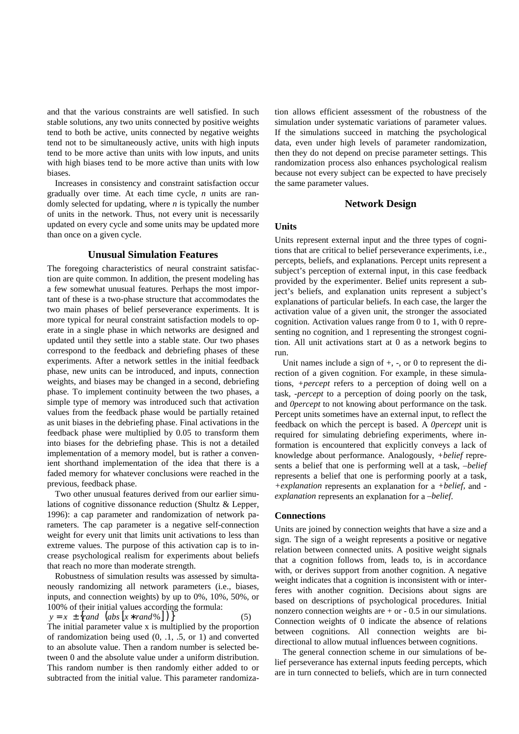and that the various constraints are well satisfied. In such stable solutions, any two units connected by positive weights tend to both be active, units connected by negative weights tend not to be simultaneously active, units with high inputs tend to be more active than units with low inputs, and units with high biases tend to be more active than units with low biases.

Increases in consistency and constraint satisfaction occur gradually over time. At each time cycle, *n* units are randomly selected for updating, where *n* is typically the number of units in the network. Thus, not every unit is necessarily updated on every cycle and some units may be updated more than once on a given cycle.

# **Unusual Simulation Features**

The foregoing characteristics of neural constraint satisfaction are quite common. In addition, the present modeling has a few somewhat unusual features. Perhaps the most important of these is a two-phase structure that accommodates the two main phases of belief perseverance experiments. It is more typical for neural constraint satisfaction models to operate in a single phase in which networks are designed and updated until they settle into a stable state. Our two phases correspond to the feedback and debriefing phases of these experiments. After a network settles in the initial feedback phase, new units can be introduced, and inputs, connection weights, and biases may be changed in a second, debriefing phase. To implement continuity between the two phases, a simple type of memory was introduced such that activation values from the feedback phase would be partially retained as unit biases in the debriefing phase. Final activations in the feedback phase were multiplied by 0.05 to transform them into biases for the debriefing phase. This is not a detailed implementation of a memory model, but is rather a convenient shorthand implementation of the idea that there is a faded memory for whatever conclusions were reached in the previous, feedback phase.

Two other unusual features derived from our earlier simulations of cognitive dissonance reduction (Shultz & Lepper, 1996): a cap parameter and randomization of network parameters. The cap parameter is a negative self-connection weight for every unit that limits unit activations to less than extreme values. The purpose of this activation cap is to increase psychological realism for experiments about beliefs that reach no more than moderate strength.

Robustness of simulation results was assessed by simultaneously randomizing all network parameters (i.e., biases, inputs, and connection weights) by up to 0%, 10%, 50%, or 100% of their initial values according the formula:

 $y = x \pm \{rand \ (abs \ [x * rand\%) \ ] \}$  (5) The initial parameter value x is multiplied by the proportion of randomization being used (0, .1, .5, or 1) and converted to an absolute value. Then a random number is selected between 0 and the absolute value under a uniform distribution. This random number is then randomly either added to or subtracted from the initial value. This parameter randomiza-

tion allows efficient assessment of the robustness of the simulation under systematic variations of parameter values. If the simulations succeed in matching the psychological data, even under high levels of parameter randomization, then they do not depend on precise parameter settings. This randomization process also enhances psychological realism because not every subject can be expected to have precisely the same parameter values.

# **Network Design**

#### **Units**

Units represent external input and the three types of cognitions that are critical to belief perseverance experiments, i.e., percepts, beliefs, and explanations. Percept units represent a subject's perception of external input, in this case feedback provided by the experimenter. Belief units represent a subject's beliefs, and explanation units represent a subject's explanations of particular beliefs. In each case, the larger the activation value of a given unit, the stronger the associated cognition. Activation values range from 0 to 1, with 0 representing no cognition, and 1 representing the strongest cognition. All unit activations start at 0 as a network begins to run.

Unit names include a sign of  $+$ ,  $-$ , or 0 to represent the direction of a given cognition. For example, in these simulations, *+percept* refers to a perception of doing well on a task, *-percept* to a perception of doing poorly on the task, and *0percept* to not knowing about performance on the task. Percept units sometimes have an external input, to reflect the feedback on which the percept is based. A *0percept* unit is required for simulating debriefing experiments, where information is encountered that explicitly conveys a lack of knowledge about performance. Analogously, *+belief* represents a belief that one is performing well at a task, *–belief* represents a belief that one is performing poorly at a task, *+explanation* represents an explanation for a *+belief,* and  *explanation* represents an explanation for a *–belief*.

#### **Connections**

Units are joined by connection weights that have a size and a sign. The sign of a weight represents a positive or negative relation between connected units. A positive weight signals that a cognition follows from, leads to, is in accordance with, or derives support from another cognition. A negative weight indicates that a cognition is inconsistent with or interferes with another cognition. Decisions about signs are based on descriptions of psychological procedures. Initial nonzero connection weights are  $+$  or  $-$  0.5 in our simulations. Connection weights of 0 indicate the absence of relations between cognitions. All connection weights are bidirectional to allow mutual influences between cognitions.

The general connection scheme in our simulations of belief perseverance has external inputs feeding percepts, which are in turn connected to beliefs, which are in turn connected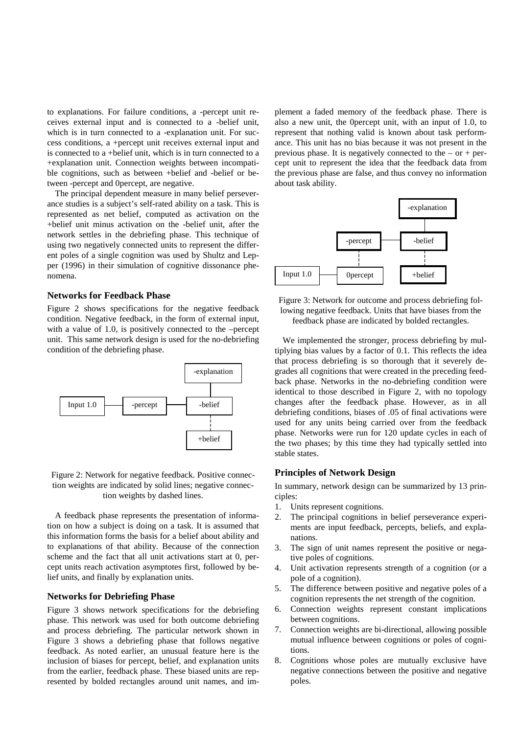to explanations. For failure conditions, a -percept unit receives external input and is connected to a -belief unit, which is in turn connected to a -explanation unit. For success conditions, a +percept unit receives external input and is connected to a +belief unit, which is in turn connected to a +explanation unit. Connection weights between incompatible cognitions, such as between +belief and -belief or between -percept and 0percept, are negative.

The principal dependent measure in many belief perseverance studies is a subject's self-rated ability on a task. This is represented as net belief, computed as activation on the +belief unit minus activation on the -belief unit, after the network settles in the debriefing phase. This technique of using two negatively connected units to represent the different poles of a single cognition was used by Shultz and Lepper (1996) in their simulation of cognitive dissonance phenomena.

#### **Networks for Feedback Phase**

Figure 2 shows specifications for the negative feedback condition. Negative feedback, in the form of external input, with a value of 1.0, is positively connected to the –percept unit. This same network design is used for the no-debriefing condition of the debriefing phase.



Figure 2: Network for negative feedback. Positive connection weights are indicated by solid lines; negative connection weights by dashed lines.

A feedback phase represents the presentation of information on how a subject is doing on a task. It is assumed that this information forms the basis for a belief about ability and to explanations of that ability. Because of the connection scheme and the fact that all unit activations start at 0, percept units reach activation asymptotes first, followed by belief units, and finally by explanation units.

# **Networks for Debriefing Phase**

Figure 3 shows network specifications for the debriefing phase. This network was used for both outcome debriefing and process debriefing. The particular network shown in Figure 3 shows a debriefing phase that follows negative feedback. As noted earlier, an unusual feature here is the inclusion of biases for percept, belief, and explanation units from the earlier, feedback phase. These biased units are represented by bolded rectangles around unit names, and im-

plement a faded memory of the feedback phase. There is also a new unit, the 0percept unit, with an input of 1.0, to represent that nothing valid is known about task performance. This unit has no bias because it was not present in the previous phase. It is negatively connected to the  $-$  or  $+$  percept unit to represent the idea that the feedback data from the previous phase are false, and thus convey no information about task ability.



Figure 3: Network for outcome and process debriefing following negative feedback. Units that have biases from the feedback phase are indicated by bolded rectangles.

We implemented the stronger, process debriefing by multiplying bias values by a factor of 0.1. This reflects the idea that process debriefing is so thorough that it severely degrades all cognitions that were created in the preceding feedback phase. Networks in the no-debriefing condition were identical to those described in Figure 2, with no topology changes after the feedback phase. However, as in all debriefing conditions, biases of .05 of final activations were used for any units being carried over from the feedback phase. Networks were run for 120 update cycles in each of the two phases; by this time they had typically settled into stable states.

# **Principles of Network Design**

In summary, network design can be summarized by 13 principles:

- 1. Units represent cognitions.
- 2. The principal cognitions in belief perseverance experiments are input feedback, percepts, beliefs, and explanations.
- 3. The sign of unit names represent the positive or negative poles of cognitions.
- 4. Unit activation represents strength of a cognition (or a pole of a cognition).
- 5. The difference between positive and negative poles of a cognition represents the net strength of the cognition.
- 6. Connection weights represent constant implications between cognitions.
- 7. Connection weights are bi-directional, allowing possible mutual influence between cognitions or poles of cognitions.
- 8. Cognitions whose poles are mutually exclusive have negative connections between the positive and negative poles.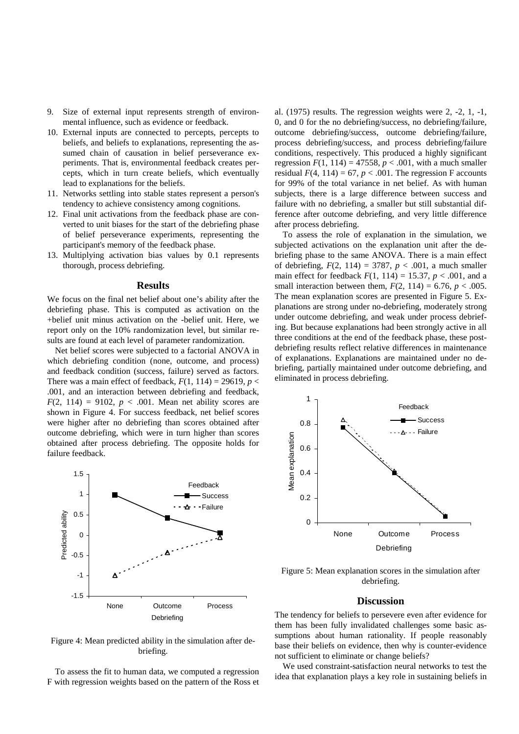- 9. Size of external input represents strength of environmental influence, such as evidence or feedback.
- 10. External inputs are connected to percepts, percepts to beliefs, and beliefs to explanations, representing the assumed chain of causation in belief perseverance experiments. That is, environmental feedback creates percepts, which in turn create beliefs, which eventually lead to explanations for the beliefs.
- 11. Networks settling into stable states represent a person's tendency to achieve consistency among cognitions.
- 12. Final unit activations from the feedback phase are converted to unit biases for the start of the debriefing phase of belief perseverance experiments, representing the participant's memory of the feedback phase.
- 13. Multiplying activation bias values by 0.1 represents thorough, process debriefing.

#### **Results**

We focus on the final net belief about one's ability after the debriefing phase. This is computed as activation on the +belief unit minus activation on the -belief unit. Here, we report only on the 10% randomization level, but similar results are found at each level of parameter randomization.

Net belief scores were subjected to a factorial ANOVA in which debriefing condition (none, outcome, and process) and feedback condition (success, failure) served as factors. There was a main effect of feedback,  $F(1, 114) = 29619$ ,  $p <$ .001, and an interaction between debriefing and feedback,  $F(2, 114) = 9102$ ,  $p < .001$ . Mean net ability scores are shown in Figure 4. For success feedback, net belief scores were higher after no debriefing than scores obtained after outcome debriefing, which were in turn higher than scores obtained after process debriefing. The opposite holds for failure feedback.



Figure 4: Mean predicted ability in the simulation after debriefing.

To assess the fit to human data, we computed a regression F with regression weights based on the pattern of the Ross et al. (1975) results. The regression weights were 2, -2, 1, -1, 0, and 0 for the no debriefing/success, no debriefing/failure, outcome debriefing/success, outcome debriefing/failure, process debriefing/success, and process debriefing/failure conditions, respectively. This produced a highly significant regression  $F(1, 114) = 47558$ ,  $p < .001$ , with a much smaller residual  $F(4, 114) = 67$ ,  $p < .001$ . The regression F accounts for 99% of the total variance in net belief. As with human subjects, there is a large difference between success and failure with no debriefing, a smaller but still substantial difference after outcome debriefing, and very little difference after process debriefing.

To assess the role of explanation in the simulation, we subjected activations on the explanation unit after the debriefing phase to the same ANOVA. There is a main effect of debriefing,  $F(2, 114) = 3787$ ,  $p < .001$ , a much smaller main effect for feedback  $F(1, 114) = 15.37, p < .001$ , and a small interaction between them,  $F(2, 114) = 6.76$ ,  $p < .005$ . The mean explanation scores are presented in Figure 5. Explanations are strong under no-debriefing, moderately strong under outcome debriefing, and weak under process debriefing. But because explanations had been strongly active in all three conditions at the end of the feedback phase, these postdebriefing results reflect relative differences in maintenance of explanations. Explanations are maintained under no debriefing, partially maintained under outcome debriefing, and eliminated in process debriefing.



Figure 5: Mean explanation scores in the simulation after debriefing.

# **Discussion**

The tendency for beliefs to persevere even after evidence for them has been fully invalidated challenges some basic assumptions about human rationality. If people reasonably base their beliefs on evidence, then why is counter-evidence not sufficient to eliminate or change beliefs?

We used constraint-satisfaction neural networks to test the idea that explanation plays a key role in sustaining beliefs in